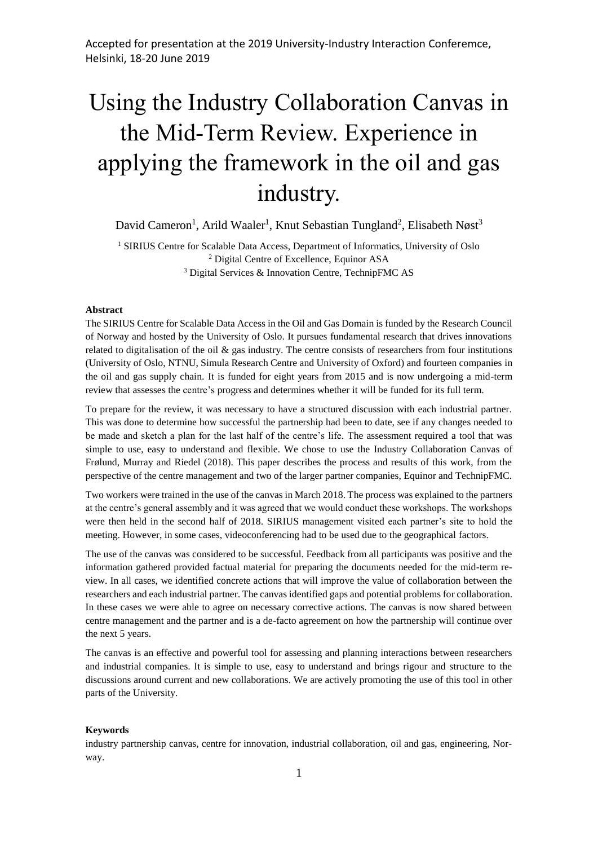# Using the Industry Collaboration Canvas in the Mid-Term Review. Experience in applying the framework in the oil and gas industry.

David Cameron<sup>1</sup>, Arild Waaler<sup>1</sup>, Knut Sebastian Tungland<sup>2</sup>, Elisabeth Nøst<sup>3</sup>

<sup>1</sup> SIRIUS Centre for Scalable Data Access, Department of Informatics, University of Oslo <sup>2</sup> Digital Centre of Excellence, Equinor ASA <sup>3</sup> Digital Services & Innovation Centre, TechnipFMC AS

#### **Abstract**

The SIRIUS Centre for Scalable Data Access in the Oil and Gas Domain is funded by the Research Council of Norway and hosted by the University of Oslo. It pursues fundamental research that drives innovations related to digitalisation of the oil  $\&$  gas industry. The centre consists of researchers from four institutions (University of Oslo, NTNU, Simula Research Centre and University of Oxford) and fourteen companies in the oil and gas supply chain. It is funded for eight years from 2015 and is now undergoing a mid-term review that assesses the centre's progress and determines whether it will be funded for its full term.

To prepare for the review, it was necessary to have a structured discussion with each industrial partner. This was done to determine how successful the partnership had been to date, see if any changes needed to be made and sketch a plan for the last half of the centre's life. The assessment required a tool that was simple to use, easy to understand and flexible. We chose to use the Industry Collaboration Canvas of Frølund, Murray and Riedel (2018). This paper describes the process and results of this work, from the perspective of the centre management and two of the larger partner companies, Equinor and TechnipFMC.

Two workers were trained in the use of the canvas in March 2018. The process was explained to the partners at the centre's general assembly and it was agreed that we would conduct these workshops. The workshops were then held in the second half of 2018. SIRIUS management visited each partner's site to hold the meeting. However, in some cases, videoconferencing had to be used due to the geographical factors.

The use of the canvas was considered to be successful. Feedback from all participants was positive and the information gathered provided factual material for preparing the documents needed for the mid-term review. In all cases, we identified concrete actions that will improve the value of collaboration between the researchers and each industrial partner. The canvas identified gaps and potential problems for collaboration. In these cases we were able to agree on necessary corrective actions. The canvas is now shared between centre management and the partner and is a de-facto agreement on how the partnership will continue over the next 5 years.

The canvas is an effective and powerful tool for assessing and planning interactions between researchers and industrial companies. It is simple to use, easy to understand and brings rigour and structure to the discussions around current and new collaborations. We are actively promoting the use of this tool in other parts of the University.

#### **Keywords**

industry partnership canvas, centre for innovation, industrial collaboration, oil and gas, engineering, Norway.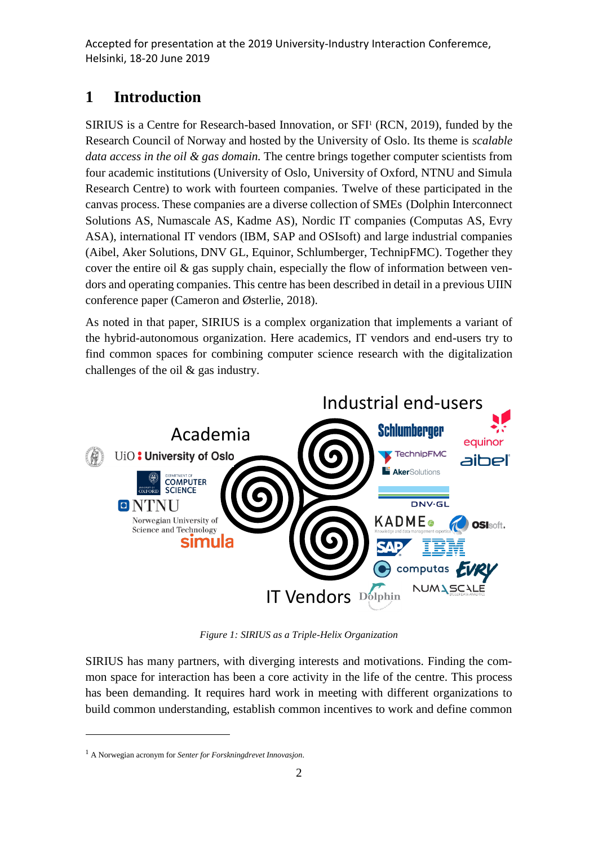## **1 Introduction**

SIRIUS is a Centre for Research-based Innovation, or SFI<sup>1</sup> (RCN, 2019), funded by the Research Council of Norway and hosted by the University of Oslo. Its theme is *scalable data access in the oil & gas domain.* The centre brings together computer scientists from four academic institutions (University of Oslo, University of Oxford, NTNU and Simula Research Centre) to work with fourteen companies. Twelve of these participated in the canvas process. These companies are a diverse collection of SMEs (Dolphin Interconnect Solutions AS, Numascale AS, Kadme AS), Nordic IT companies (Computas AS, Evry ASA), international IT vendors (IBM, SAP and OSIsoft) and large industrial companies (Aibel, Aker Solutions, DNV GL, Equinor, Schlumberger, TechnipFMC). Together they cover the entire oil  $\&$  gas supply chain, especially the flow of information between vendors and operating companies. This centre has been described in detail in a previous UIIN conference paper (Cameron and Østerlie, 2018).

As noted in that paper, SIRIUS is a complex organization that implements a variant of the hybrid-autonomous organization. Here academics, IT vendors and end-users try to find common spaces for combining computer science research with the digitalization challenges of the oil & gas industry.



*Figure 1: SIRIUS as a Triple-Helix Organization*

SIRIUS has many partners, with diverging interests and motivations. Finding the common space for interaction has been a core activity in the life of the centre. This process has been demanding. It requires hard work in meeting with different organizations to build common understanding, establish common incentives to work and define common

1

<sup>1</sup> A Norwegian acronym for *Senter for Forskningdrevet Innovasjon*.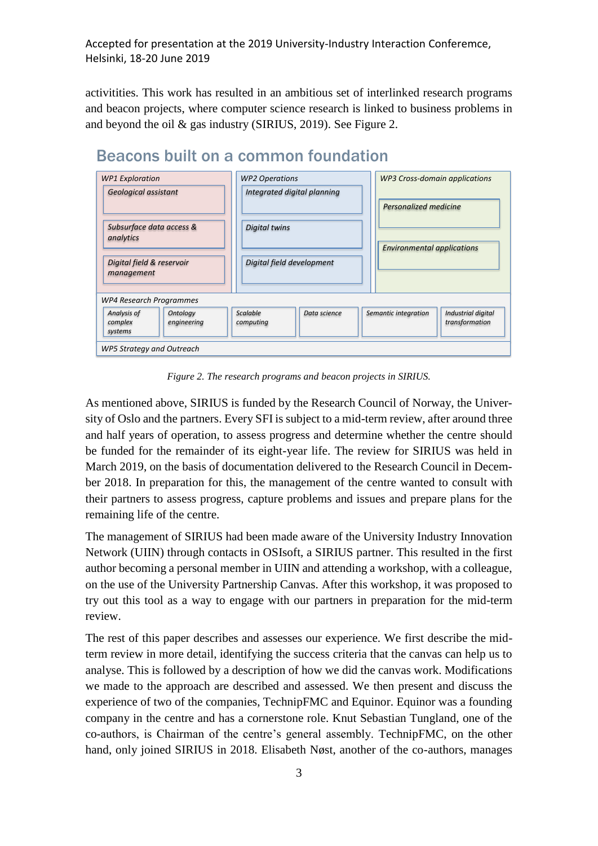activitities. This work has resulted in an ambitious set of interlinked research programs and beacon projects, where computer science research is linked to business problems in and beyond the oil & gas industry (SIRIUS, 2019). See Figure 2.



## Beacons built on a common foundation

*Figure 2. The research programs and beacon projects in SIRIUS.*

As mentioned above, SIRIUS is funded by the Research Council of Norway, the University of Oslo and the partners. Every SFI is subject to a mid-term review, after around three and half years of operation, to assess progress and determine whether the centre should be funded for the remainder of its eight-year life. The review for SIRIUS was held in March 2019, on the basis of documentation delivered to the Research Council in December 2018. In preparation for this, the management of the centre wanted to consult with their partners to assess progress, capture problems and issues and prepare plans for the remaining life of the centre.

The management of SIRIUS had been made aware of the University Industry Innovation Network (UIIN) through contacts in OSIsoft, a SIRIUS partner. This resulted in the first author becoming a personal member in UIIN and attending a workshop, with a colleague, on the use of the University Partnership Canvas. After this workshop, it was proposed to try out this tool as a way to engage with our partners in preparation for the mid-term review.

The rest of this paper describes and assesses our experience. We first describe the midterm review in more detail, identifying the success criteria that the canvas can help us to analyse. This is followed by a description of how we did the canvas work. Modifications we made to the approach are described and assessed. We then present and discuss the experience of two of the companies, TechnipFMC and Equinor. Equinor was a founding company in the centre and has a cornerstone role. Knut Sebastian Tungland, one of the co-authors, is Chairman of the centre's general assembly. TechnipFMC, on the other hand, only joined SIRIUS in 2018. Elisabeth Nøst, another of the co-authors, manages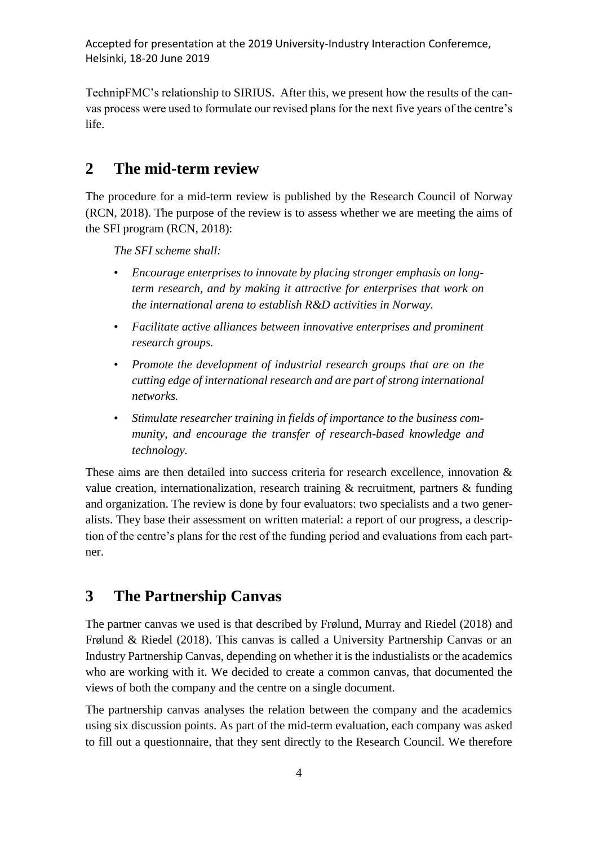TechnipFMC's relationship to SIRIUS. After this, we present how the results of the canvas process were used to formulate our revised plans for the next five years of the centre's life.

## **2 The mid-term review**

The procedure for a mid-term review is published by the Research Council of Norway (RCN, 2018). The purpose of the review is to assess whether we are meeting the aims of the SFI program (RCN, 2018):

*The SFI scheme shall:*

- *Encourage enterprises to innovate by placing stronger emphasis on longterm research, and by making it attractive for enterprises that work on the international arena to establish R&D activities in Norway.*
- *Facilitate active alliances between innovative enterprises and prominent research groups.*
- *Promote the development of industrial research groups that are on the cutting edge of international research and are part of strong international networks.*
- *Stimulate researcher training in fields of importance to the business community, and encourage the transfer of research-based knowledge and technology.*

These aims are then detailed into success criteria for research excellence, innovation & value creation, internationalization, research training & recruitment, partners & funding and organization. The review is done by four evaluators: two specialists and a two generalists. They base their assessment on written material: a report of our progress, a description of the centre's plans for the rest of the funding period and evaluations from each partner.

## **3 The Partnership Canvas**

The partner canvas we used is that described by Frølund, Murray and Riedel (2018) and Frølund & Riedel (2018). This canvas is called a University Partnership Canvas or an Industry Partnership Canvas, depending on whether it is the industialists or the academics who are working with it. We decided to create a common canvas, that documented the views of both the company and the centre on a single document.

The partnership canvas analyses the relation between the company and the academics using six discussion points. As part of the mid-term evaluation, each company was asked to fill out a questionnaire, that they sent directly to the Research Council. We therefore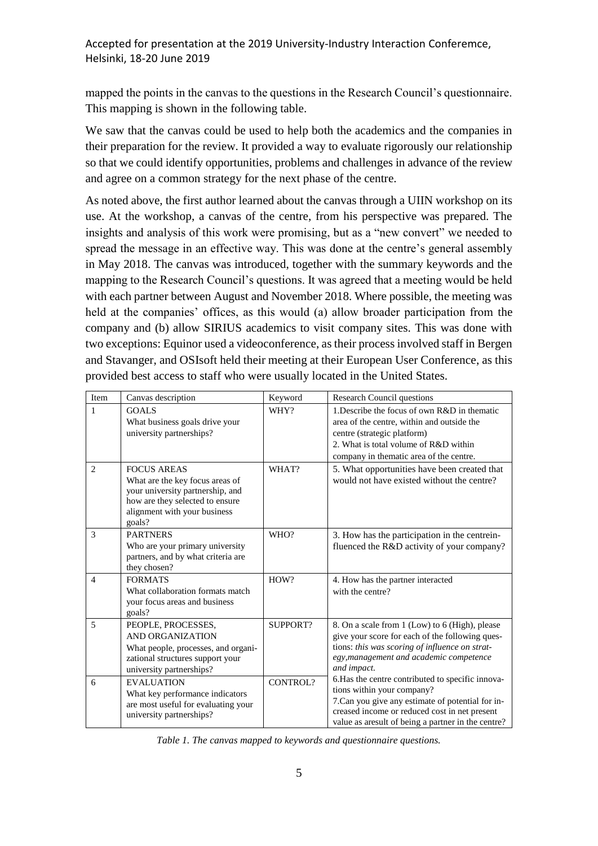mapped the points in the canvas to the questions in the Research Council's questionnaire. This mapping is shown in the following table.

We saw that the canvas could be used to help both the academics and the companies in their preparation for the review. It provided a way to evaluate rigorously our relationship so that we could identify opportunities, problems and challenges in advance of the review and agree on a common strategy for the next phase of the centre.

As noted above, the first author learned about the canvas through a UIIN workshop on its use. At the workshop, a canvas of the centre, from his perspective was prepared. The insights and analysis of this work were promising, but as a "new convert" we needed to spread the message in an effective way. This was done at the centre's general assembly in May 2018. The canvas was introduced, together with the summary keywords and the mapping to the Research Council's questions. It was agreed that a meeting would be held with each partner between August and November 2018. Where possible, the meeting was held at the companies' offices, as this would (a) allow broader participation from the company and (b) allow SIRIUS academics to visit company sites. This was done with two exceptions: Equinor used a videoconference, as their process involved staff in Bergen and Stavanger, and OSIsoft held their meeting at their European User Conference, as this provided best access to staff who were usually located in the United States.

| <b>Item</b>    | Canvas description                                                                                                                                                     | Keyword  | <b>Research Council questions</b>                                                                                                                                                                                                                                                                                                                                                                                                                                |  |
|----------------|------------------------------------------------------------------------------------------------------------------------------------------------------------------------|----------|------------------------------------------------------------------------------------------------------------------------------------------------------------------------------------------------------------------------------------------------------------------------------------------------------------------------------------------------------------------------------------------------------------------------------------------------------------------|--|
| 1              | <b>GOALS</b><br>What business goals drive your<br>university partnerships?                                                                                             | WHY?     | 1. Describe the focus of own R&D in thematic<br>area of the centre, within and outside the<br>centre (strategic platform)<br>2. What is total volume of R&D within<br>company in thematic area of the centre.                                                                                                                                                                                                                                                    |  |
| $\overline{c}$ | <b>FOCUS AREAS</b><br>What are the key focus areas of<br>your university partnership, and<br>how are they selected to ensure<br>alignment with your business<br>goals? | WHAT?    | 5. What opportunities have been created that<br>would not have existed without the centre?                                                                                                                                                                                                                                                                                                                                                                       |  |
| 3              | <b>PARTNERS</b><br>Who are your primary university<br>partners, and by what criteria are<br>they chosen?                                                               | WHO?     | 3. How has the participation in the centrein-<br>fluenced the R&D activity of your company?                                                                                                                                                                                                                                                                                                                                                                      |  |
| $\overline{4}$ | <b>FORMATS</b><br>What collaboration formats match<br>your focus areas and business<br>goals?                                                                          | HOW?     | 4. How has the partner interacted<br>with the centre?                                                                                                                                                                                                                                                                                                                                                                                                            |  |
| 5              | PEOPLE, PROCESSES,<br>AND ORGANIZATION<br>What people, processes, and organi-<br>zational structures support your<br>university partnerships?                          | SUPPORT? | 8. On a scale from 1 (Low) to 6 (High), please<br>give your score for each of the following ques-<br>tions: this was scoring of influence on strat-<br>egy, management and academic competence<br>and impact.<br>6. Has the centre contributed to specific innova-<br>tions within your company?<br>7. Can you give any estimate of potential for in-<br>creased income or reduced cost in net present<br>value as are<br>sult of being a partner in the centre? |  |
| 6              | <b>EVALUATION</b><br>What key performance indicators<br>are most useful for evaluating your<br>university partnerships?                                                | CONTROL? |                                                                                                                                                                                                                                                                                                                                                                                                                                                                  |  |

*Table 1. The canvas mapped to keywords and questionnaire questions.*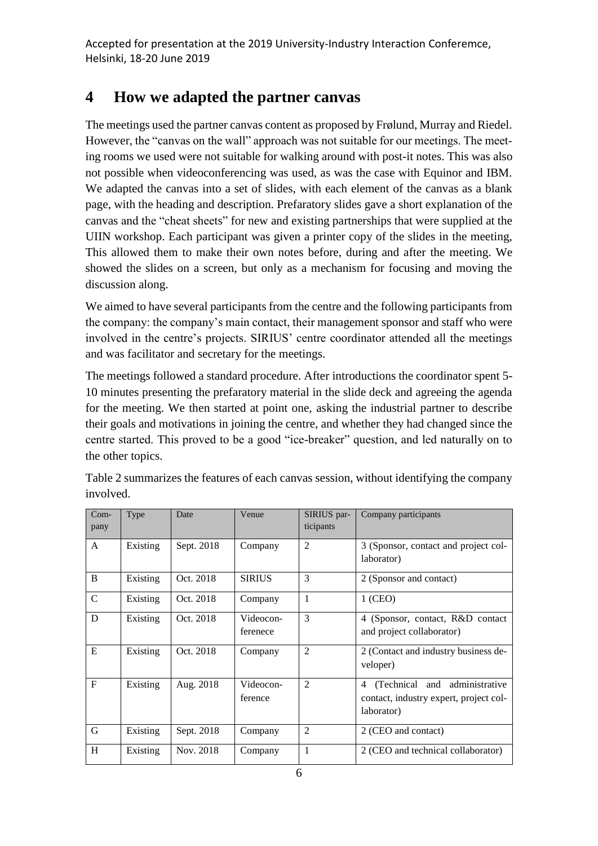## **4 How we adapted the partner canvas**

The meetings used the partner canvas content as proposed by Frølund, Murray and Riedel. However, the "canvas on the wall" approach was not suitable for our meetings. The meeting rooms we used were not suitable for walking around with post-it notes. This was also not possible when videoconferencing was used, as was the case with Equinor and IBM. We adapted the canvas into a set of slides, with each element of the canvas as a blank page, with the heading and description. Prefaratory slides gave a short explanation of the canvas and the "cheat sheets" for new and existing partnerships that were supplied at the UIIN workshop. Each participant was given a printer copy of the slides in the meeting, This allowed them to make their own notes before, during and after the meeting. We showed the slides on a screen, but only as a mechanism for focusing and moving the discussion along.

We aimed to have several participants from the centre and the following participants from the company: the company's main contact, their management sponsor and staff who were involved in the centre's projects. SIRIUS' centre coordinator attended all the meetings and was facilitator and secretary for the meetings.

The meetings followed a standard procedure. After introductions the coordinator spent 5- 10 minutes presenting the prefaratory material in the slide deck and agreeing the agenda for the meeting. We then started at point one, asking the industrial partner to describe their goals and motivations in joining the centre, and whether they had changed since the centre started. This proved to be a good "ice-breaker" question, and led naturally on to the other topics.

| $Com-$<br>pany | Type     | Date       | Venue                 | SIRIUS par-<br>ticipants | Company participants                                                                       |
|----------------|----------|------------|-----------------------|--------------------------|--------------------------------------------------------------------------------------------|
| $\mathsf{A}$   | Existing | Sept. 2018 | Company               | $\overline{2}$           | 3 (Sponsor, contact and project col-<br>laborator)                                         |
| B              | Existing | Oct. 2018  | <b>SIRIUS</b>         | $\mathcal{F}$            | 2 (Sponsor and contact)                                                                    |
| $\mathcal{C}$  | Existing | Oct. 2018  | Company               | 1                        | $1$ (CEO)                                                                                  |
| D              | Existing | Oct. 2018  | Videocon-<br>ferenece | 3                        | 4 (Sponsor, contact, R&D contact<br>and project collaborator)                              |
| E              | Existing | Oct. 2018  | Company               | $\overline{2}$           | 2 (Contact and industry business de-<br>veloper)                                           |
| F              | Existing | Aug. 2018  | Videocon-<br>ference  | $\overline{2}$           | (Technical and administrative<br>4<br>contact, industry expert, project col-<br>laborator) |
| G              | Existing | Sept. 2018 | Company               | $\overline{2}$           | 2 (CEO and contact)                                                                        |
| H              | Existing | Nov. 2018  | Company               | 1                        | 2 (CEO and technical collaborator)                                                         |

Table 2 summarizes the features of each canvas session, without identifying the company involved.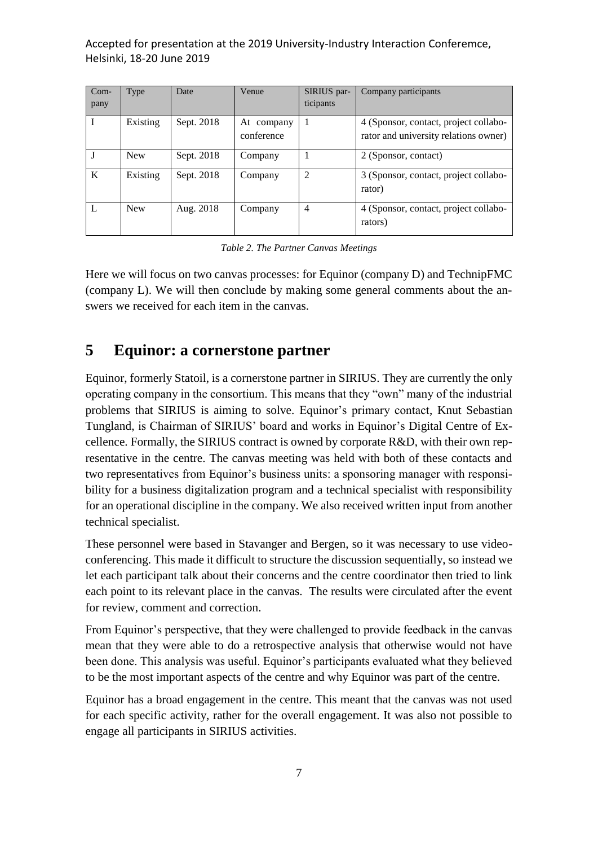| $Com-$<br>pany | Type       | Date       | Venue                    | SIRIUS par-<br>ticipants | Company participants                                                           |
|----------------|------------|------------|--------------------------|--------------------------|--------------------------------------------------------------------------------|
|                | Existing   | Sept. 2018 | At company<br>conference |                          | 4 (Sponsor, contact, project collabo-<br>rator and university relations owner) |
|                | <b>New</b> | Sept. 2018 | Company                  |                          | 2 (Sponsor, contact)                                                           |
| K              | Existing   | Sept. 2018 | Company                  | 2                        | 3 (Sponsor, contact, project collabo-<br>rator)                                |
|                | <b>New</b> | Aug. 2018  | Company                  | $\overline{4}$           | 4 (Sponsor, contact, project collabo-<br>rators)                               |

*Table 2. The Partner Canvas Meetings*

Here we will focus on two canvas processes: for Equinor (company D) and TechnipFMC (company L). We will then conclude by making some general comments about the answers we received for each item in the canvas.

## **5 Equinor: a cornerstone partner**

Equinor, formerly Statoil, is a cornerstone partner in SIRIUS. They are currently the only operating company in the consortium. This means that they "own" many of the industrial problems that SIRIUS is aiming to solve. Equinor's primary contact, Knut Sebastian Tungland, is Chairman of SIRIUS' board and works in Equinor's Digital Centre of Excellence. Formally, the SIRIUS contract is owned by corporate R&D, with their own representative in the centre. The canvas meeting was held with both of these contacts and two representatives from Equinor's business units: a sponsoring manager with responsibility for a business digitalization program and a technical specialist with responsibility for an operational discipline in the company. We also received written input from another technical specialist.

These personnel were based in Stavanger and Bergen, so it was necessary to use videoconferencing. This made it difficult to structure the discussion sequentially, so instead we let each participant talk about their concerns and the centre coordinator then tried to link each point to its relevant place in the canvas. The results were circulated after the event for review, comment and correction.

From Equinor's perspective, that they were challenged to provide feedback in the canvas mean that they were able to do a retrospective analysis that otherwise would not have been done. This analysis was useful. Equinor's participants evaluated what they believed to be the most important aspects of the centre and why Equinor was part of the centre.

Equinor has a broad engagement in the centre. This meant that the canvas was not used for each specific activity, rather for the overall engagement. It was also not possible to engage all participants in SIRIUS activities.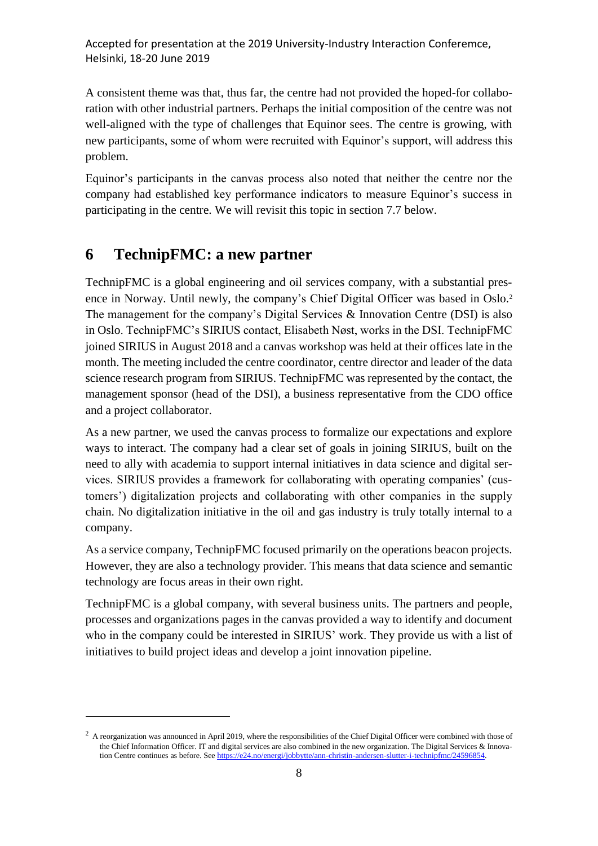A consistent theme was that, thus far, the centre had not provided the hoped-for collaboration with other industrial partners. Perhaps the initial composition of the centre was not well-aligned with the type of challenges that Equinor sees. The centre is growing, with new participants, some of whom were recruited with Equinor's support, will address this problem.

Equinor's participants in the canvas process also noted that neither the centre nor the company had established key performance indicators to measure Equinor's success in participating in the centre. We will revisit this topic in section 7.7 below.

## **6 TechnipFMC: a new partner**

1

TechnipFMC is a global engineering and oil services company, with a substantial presence in Norway. Until newly, the company's Chief Digital Officer was based in Oslo. 2 The management for the company's Digital Services & Innovation Centre (DSI) is also in Oslo. TechnipFMC's SIRIUS contact, Elisabeth Nøst, works in the DSI. TechnipFMC joined SIRIUS in August 2018 and a canvas workshop was held at their offices late in the month. The meeting included the centre coordinator, centre director and leader of the data science research program from SIRIUS. TechnipFMC was represented by the contact, the management sponsor (head of the DSI), a business representative from the CDO office and a project collaborator.

As a new partner, we used the canvas process to formalize our expectations and explore ways to interact. The company had a clear set of goals in joining SIRIUS, built on the need to ally with academia to support internal initiatives in data science and digital services. SIRIUS provides a framework for collaborating with operating companies' (customers') digitalization projects and collaborating with other companies in the supply chain. No digitalization initiative in the oil and gas industry is truly totally internal to a company.

As a service company, TechnipFMC focused primarily on the operations beacon projects. However, they are also a technology provider. This means that data science and semantic technology are focus areas in their own right.

TechnipFMC is a global company, with several business units. The partners and people, processes and organizations pages in the canvas provided a way to identify and document who in the company could be interested in SIRIUS' work. They provide us with a list of initiatives to build project ideas and develop a joint innovation pipeline.

 $<sup>2</sup>$  A reorganization was announced in April 2019, where the responsibilities of the Chief Digital Officer were combined with those of</sup> the Chief Information Officer. IT and digital services are also combined in the new organization. The Digital Services & Innovation Centre continues as before. See https://e24.no/energi/jobbytte/ann-christin-andersen-slutter-i-technipfmc/24596854.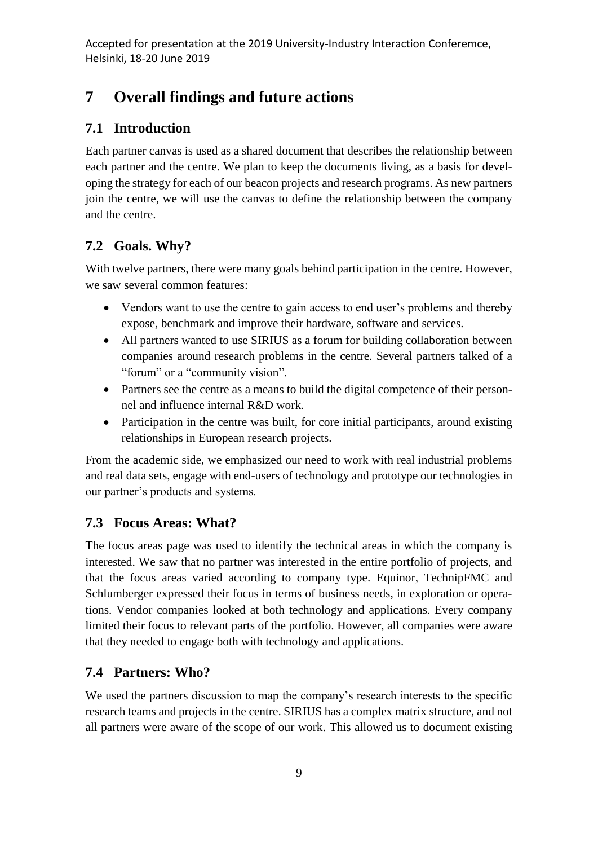## **7 Overall findings and future actions**

## **7.1 Introduction**

Each partner canvas is used as a shared document that describes the relationship between each partner and the centre. We plan to keep the documents living, as a basis for developing the strategy for each of our beacon projects and research programs. As new partners join the centre, we will use the canvas to define the relationship between the company and the centre.

## **7.2 Goals. Why?**

With twelve partners, there were many goals behind participation in the centre. However, we saw several common features:

- Vendors want to use the centre to gain access to end user's problems and thereby expose, benchmark and improve their hardware, software and services.
- All partners wanted to use SIRIUS as a forum for building collaboration between companies around research problems in the centre. Several partners talked of a "forum" or a "community vision".
- Partners see the centre as a means to build the digital competence of their personnel and influence internal R&D work.
- Participation in the centre was built, for core initial participants, around existing relationships in European research projects.

From the academic side, we emphasized our need to work with real industrial problems and real data sets, engage with end-users of technology and prototype our technologies in our partner's products and systems.

## **7.3 Focus Areas: What?**

The focus areas page was used to identify the technical areas in which the company is interested. We saw that no partner was interested in the entire portfolio of projects, and that the focus areas varied according to company type. Equinor, TechnipFMC and Schlumberger expressed their focus in terms of business needs, in exploration or operations. Vendor companies looked at both technology and applications. Every company limited their focus to relevant parts of the portfolio. However, all companies were aware that they needed to engage both with technology and applications.

## **7.4 Partners: Who?**

We used the partners discussion to map the company's research interests to the specific research teams and projects in the centre. SIRIUS has a complex matrix structure, and not all partners were aware of the scope of our work. This allowed us to document existing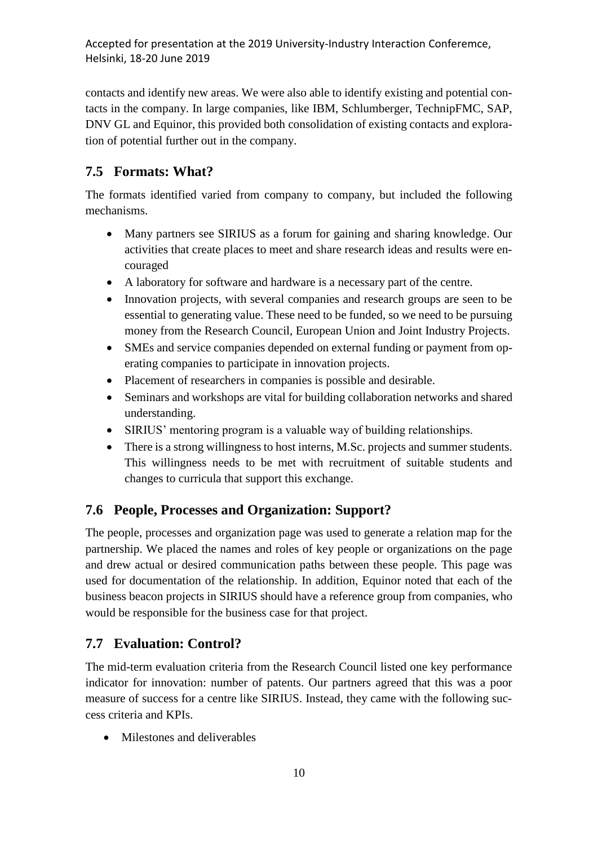contacts and identify new areas. We were also able to identify existing and potential contacts in the company. In large companies, like IBM, Schlumberger, TechnipFMC, SAP, DNV GL and Equinor, this provided both consolidation of existing contacts and exploration of potential further out in the company.

## **7.5 Formats: What?**

The formats identified varied from company to company, but included the following mechanisms.

- Many partners see SIRIUS as a forum for gaining and sharing knowledge. Our activities that create places to meet and share research ideas and results were encouraged
- A laboratory for software and hardware is a necessary part of the centre.
- Innovation projects, with several companies and research groups are seen to be essential to generating value. These need to be funded, so we need to be pursuing money from the Research Council, European Union and Joint Industry Projects.
- SMEs and service companies depended on external funding or payment from operating companies to participate in innovation projects.
- Placement of researchers in companies is possible and desirable.
- Seminars and workshops are vital for building collaboration networks and shared understanding.
- SIRIUS' mentoring program is a valuable way of building relationships.
- There is a strong willingness to host interns, M.Sc. projects and summer students. This willingness needs to be met with recruitment of suitable students and changes to curricula that support this exchange.

## **7.6 People, Processes and Organization: Support?**

The people, processes and organization page was used to generate a relation map for the partnership. We placed the names and roles of key people or organizations on the page and drew actual or desired communication paths between these people. This page was used for documentation of the relationship. In addition, Equinor noted that each of the business beacon projects in SIRIUS should have a reference group from companies, who would be responsible for the business case for that project.

## **7.7 Evaluation: Control?**

The mid-term evaluation criteria from the Research Council listed one key performance indicator for innovation: number of patents. Our partners agreed that this was a poor measure of success for a centre like SIRIUS. Instead, they came with the following success criteria and KPIs.

• Milestones and deliverables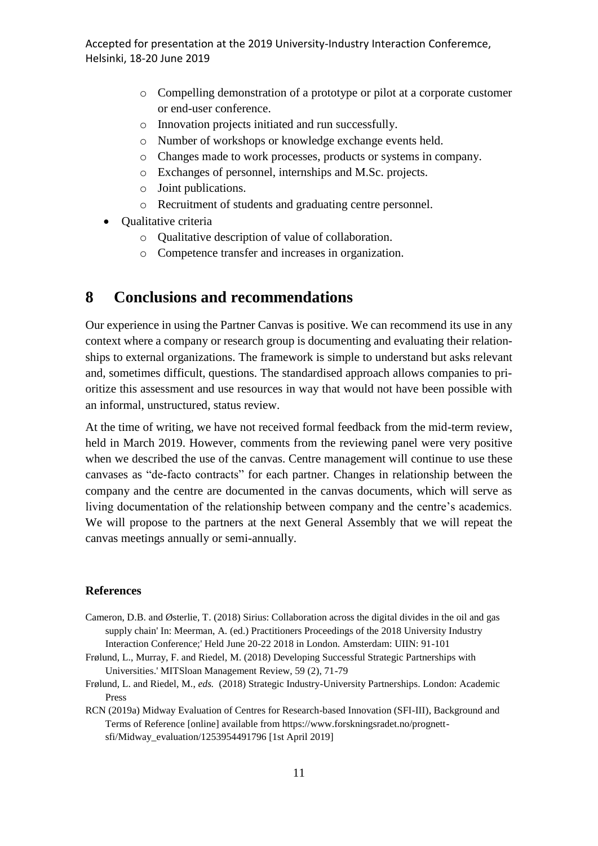- o Compelling demonstration of a prototype or pilot at a corporate customer or end-user conference.
- o Innovation projects initiated and run successfully.
- o Number of workshops or knowledge exchange events held.
- o Changes made to work processes, products or systems in company.
- o Exchanges of personnel, internships and M.Sc. projects.
- o Joint publications.
- o Recruitment of students and graduating centre personnel.
- Qualitative criteria
	- o Qualitative description of value of collaboration.
	- o Competence transfer and increases in organization.

### **8 Conclusions and recommendations**

Our experience in using the Partner Canvas is positive. We can recommend its use in any context where a company or research group is documenting and evaluating their relationships to external organizations. The framework is simple to understand but asks relevant and, sometimes difficult, questions. The standardised approach allows companies to prioritize this assessment and use resources in way that would not have been possible with an informal, unstructured, status review.

At the time of writing, we have not received formal feedback from the mid-term review, held in March 2019. However, comments from the reviewing panel were very positive when we described the use of the canvas. Centre management will continue to use these canvases as "de-facto contracts" for each partner. Changes in relationship between the company and the centre are documented in the canvas documents, which will serve as living documentation of the relationship between company and the centre's academics. We will propose to the partners at the next General Assembly that we will repeat the canvas meetings annually or semi-annually.

#### **References**

- Cameron, D.B. and Østerlie, T. (2018) Sirius: Collaboration across the digital divides in the oil and gas supply chain' In: Meerman, A. (ed.) Practitioners Proceedings of the 2018 University Industry Interaction Conference;' Held June 20-22 2018 in London. Amsterdam: UIIN: 91-101
- Frølund, L., Murray, F. and Riedel, M. (2018) Developing Successful Strategic Partnerships with Universities.' MITSloan Management Review, 59 (2), 71-79
- Frølund, L. and Riedel, M., *eds.* (2018) Strategic Industry-University Partnerships. London: Academic Press
- RCN (2019a) Midway Evaluation of Centres for Research-based Innovation (SFI-III), Background and Terms of Reference [online] available from https://www.forskningsradet.no/prognettsfi/Midway\_evaluation/1253954491796 [1st April 2019]